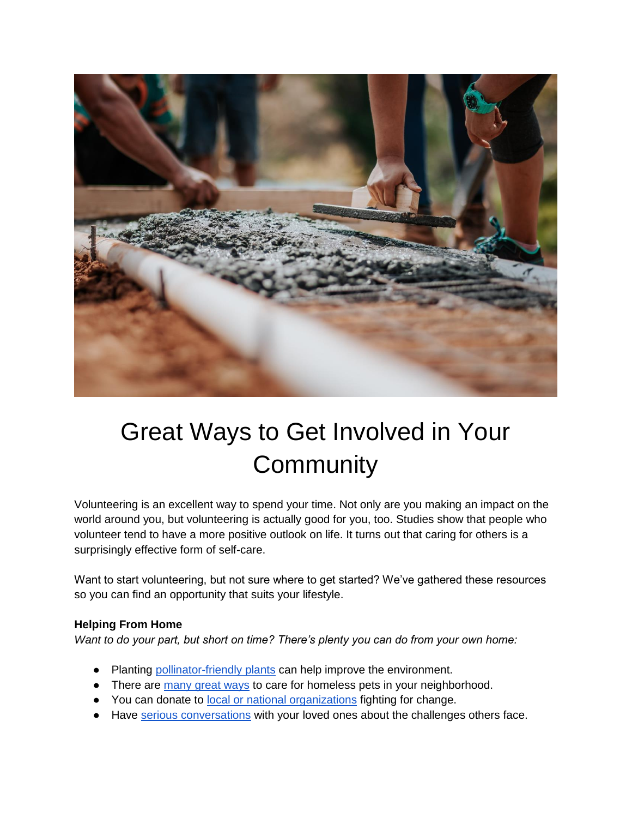

## Great Ways to Get Involved in Your **Community**

Volunteering is an excellent way to spend your time. Not only are you making an impact on the world around you, but volunteering is actually good for you, too. Studies show that people who volunteer tend to have a more positive outlook on life. It turns out that caring for others is a surprisingly effective form of self-care.

Want to start volunteering, but not sure where to get started? We've gathered these resources so you can find an opportunity that suits your lifestyle.

## **Helping From Home**

*Want to do your part, but short on time? There's plenty you can do from your own home:* 

- Planting [pollinator-friendly plants](https://homesteadandchill.com/top-23-plants-for-pollinators/) can help improve the environment.
- There are [many great ways](https://citypetsitters.com/14-ways-to-help-the-homeless-pets-in-your-neighborhood-right-from-home/) to care for homeless pets in your neighborhood.
- You can donate to [local or national organizations](https://www.gofundme.com/c/blog/best-charities-to-donate-to) fighting for change.
- Have [serious conversations](https://unitedwaymassbay.org/blog/how-to-talk-to-kids-about-homelessness/) with your loved ones about the challenges others face.